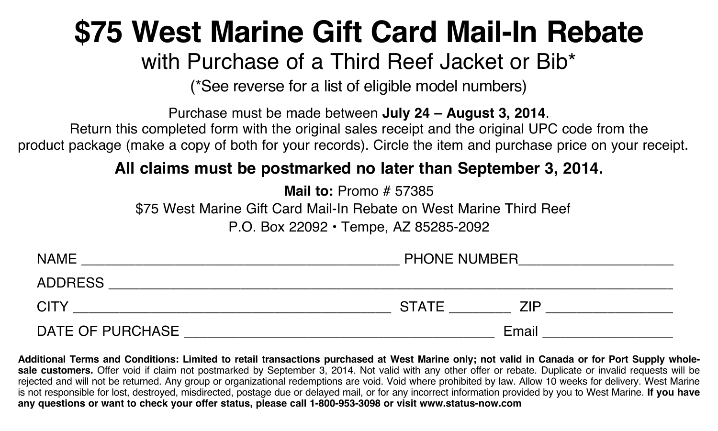# **\$75 West Marine Gift Card Mail-In Rebate**

## with Purchase of a Third Reef Jacket or Bib\*

(\*See reverse for a list of eligible model numbers)

Purchase must be made between **July 24 – August 3, 2014**.

Return this completed form with the original sales receipt and the original UPC code from the product package (make a copy of both for your records). Circle the item and purchase price on your receipt.

## **All claims must be postmarked no later than September 3, 2014.**

**Mail to:** Promo # 57385

\$75 West Marine Gift Card Mail-In Rebate on West Marine Third Reef

P.O. Box 22092 • Tempe, AZ 85285-2092

| <b>NAME</b>      | PHONE NUMBER        |  |
|------------------|---------------------|--|
| <b>ADDRESS</b>   |                     |  |
| <b>CITY</b>      | <b>STATE</b><br>7IP |  |
| DATE OF PURCHASE | Email               |  |

**Additional Terms and Conditions: Limited to retail transactions purchased at West Marine only; not valid in Canada or for Port Supply wholesale customers.** Offer void if claim not postmarked by September 3, 2014. Not valid with any other offer or rebate. Duplicate or invalid requests will be rejected and will not be returned. Any group or organizational redemptions are void. Void where prohibited by law. Allow 10 weeks for delivery. West Marine is not responsible for lost, destroyed, misdirected, postage due or delayed mail, or for any incorrect information provided by you to West Marine. **If you have any questions or want to check your offer status, please call 1-800-953-3098 or visit www.status-now.com**